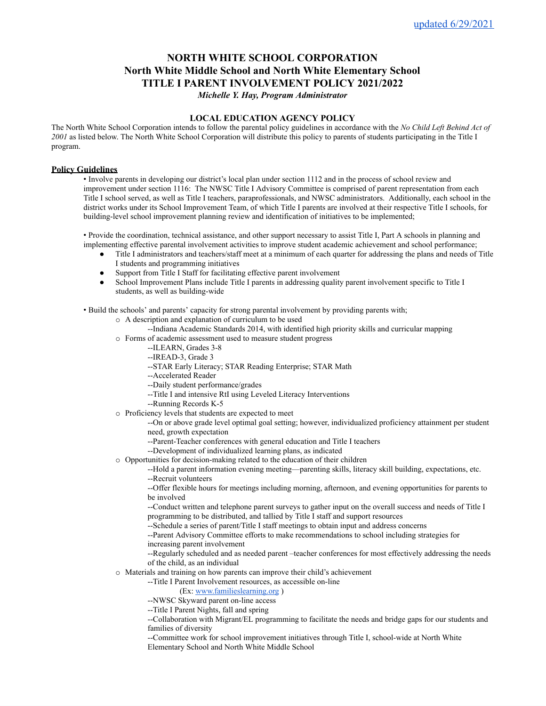# **NORTH WHITE SCHOOL CORPORATION North White Middle School and North White Elementary School TITLE I PARENT INVOLVEMENT POLICY 2021/2022**

*Michelle Y. Hay, Program Administrator*

## **LOCAL EDUCATION AGENCY POLICY**

The North White School Corporation intends to follow the parental policy guidelines in accordance with the *No Child Left Behind Act of 2001* as listed below. The North White School Corporation will distribute this policy to parents of students participating in the Title I program.

### **Policy Guidelines**

• Involve parents in developing our district's local plan under section 1112 and in the process of school review and improvement under section 1116: The NWSC Title I Advisory Committee is comprised of parent representation from each Title I school served, as well as Title I teachers, paraprofessionals, and NWSC administrators. Additionally, each school in the district works under its School Improvement Team, of which Title I parents are involved at their respective Title I schools, for building-level school improvement planning review and identification of initiatives to be implemented;

• Provide the coordination, technical assistance, and other support necessary to assist Title I, Part A schools in planning and implementing effective parental involvement activities to improve student academic achievement and school performance;

- Title I administrators and teachers/staff meet at a minimum of each quarter for addressing the plans and needs of Title I students and programming initiatives
- Support from Title I Staff for facilitating effective parent involvement
- School Improvement Plans include Title I parents in addressing quality parent involvement specific to Title I students, as well as building-wide

• Build the schools' and parents' capacity for strong parental involvement by providing parents with;

- o A description and explanation of curriculum to be used
	- --Indiana Academic Standards 2014, with identified high priority skills and curricular mapping
- o Forms of academic assessment used to measure student progress
	- --ILEARN, Grades 3-8
		- --IREAD-3, Grade 3
		- --STAR Early Literacy; STAR Reading Enterprise; STAR Math
		- --Accelerated Reader
		- --Daily student performance/grades
		- --Title I and intensive RtI using Leveled Literacy Interventions
		- --Running Records K-5
- o Proficiency levels that students are expected to meet

--On or above grade level optimal goal setting; however, individualized proficiency attainment per student need, growth expectation

- --Parent-Teacher conferences with general education and Title I teachers
- --Development of individualized learning plans, as indicated
- o Opportunities for decision-making related to the education of their children

--Hold a parent information evening meeting—parenting skills, literacy skill building, expectations, etc. --Recruit volunteers

--Offer flexible hours for meetings including morning, afternoon, and evening opportunities for parents to be involved

--Conduct written and telephone parent surveys to gather input on the overall success and needs of Title I programming to be distributed, and tallied by Title I staff and support resources

--Schedule a series of parent/Title I staff meetings to obtain input and address concerns

--Parent Advisory Committee efforts to make recommendations to school including strategies for

increasing parent involvement

--Regularly scheduled and as needed parent –teacher conferences for most effectively addressing the needs of the child, as an individual

o Materials and training on how parents can improve their child's achievement

--Title I Parent Involvement resources, as accessible on-line

(Ex: [www.familieslearning.org](http://www.familieslearning.org/) )

--NWSC Skyward parent on-line access

--Title I Parent Nights, fall and spring

--Collaboration with Migrant/EL programming to facilitate the needs and bridge gaps for our students and families of diversity

--Committee work for school improvement initiatives through Title I, school-wide at North White Elementary School and North White Middle School